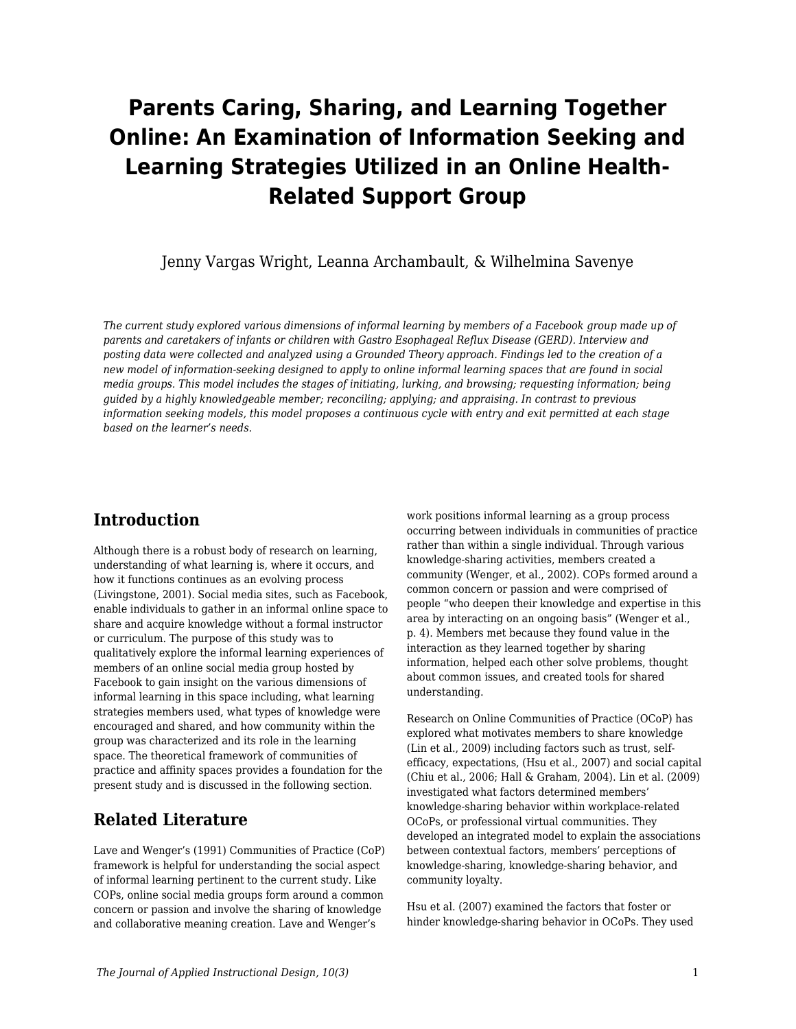# **Parents Caring, Sharing, and Learning Together Online: An Examination of Information Seeking and Learning Strategies Utilized in an Online Health-Related Support Group**

Jenny Vargas Wright, Leanna Archambault, & Wilhelmina Savenye

*The current study explored various dimensions of informal learning by members of a Facebook group made up of parents and caretakers of infants or children with Gastro Esophageal Reflux Disease (GERD). Interview and posting data were collected and analyzed using a Grounded Theory approach. Findings led to the creation of a new model of information-seeking designed to apply to online informal learning spaces that are found in social media groups. This model includes the stages of initiating, lurking, and browsing; requesting information; being guided by a highly knowledgeable member; reconciling; applying; and appraising. In contrast to previous information seeking models, this model proposes a continuous cycle with entry and exit permitted at each stage based on the learner's needs.*

### **Introduction**

Although there is a robust body of research on learning, understanding of what learning is, where it occurs, and how it functions continues as an evolving process (Livingstone, 2001). Social media sites, such as Facebook, enable individuals to gather in an informal online space to share and acquire knowledge without a formal instructor or curriculum. The purpose of this study was to qualitatively explore the informal learning experiences of members of an online social media group hosted by Facebook to gain insight on the various dimensions of informal learning in this space including, what learning strategies members used, what types of knowledge were encouraged and shared, and how community within the group was characterized and its role in the learning space. The theoretical framework of communities of practice and affinity spaces provides a foundation for the present study and is discussed in the following section.

## **Related Literature**

Lave and Wenger's (1991) Communities of Practice (CoP) framework is helpful for understanding the social aspect of informal learning pertinent to the current study. Like COPs, online social media groups form around a common concern or passion and involve the sharing of knowledge and collaborative meaning creation. Lave and Wenger's

work positions informal learning as a group process occurring between individuals in communities of practice rather than within a single individual. Through various knowledge-sharing activities, members created a community (Wenger, et al., 2002). COPs formed around a common concern or passion and were comprised of people "who deepen their knowledge and expertise in this area by interacting on an ongoing basis" (Wenger et al., p. 4). Members met because they found value in the interaction as they learned together by sharing information, helped each other solve problems, thought about common issues, and created tools for shared understanding.

Research on Online Communities of Practice (OCoP) has explored what motivates members to share knowledge (Lin et al., 2009) including factors such as trust, selfefficacy, expectations, (Hsu et al., 2007) and social capital (Chiu et al., 2006; Hall & Graham, 2004). Lin et al. (2009) investigated what factors determined members' knowledge-sharing behavior within workplace-related OCoPs, or professional virtual communities. They developed an integrated model to explain the associations between contextual factors, members' perceptions of knowledge-sharing, knowledge-sharing behavior, and community loyalty.

Hsu et al. (2007) examined the factors that foster or hinder knowledge-sharing behavior in OCoPs. They used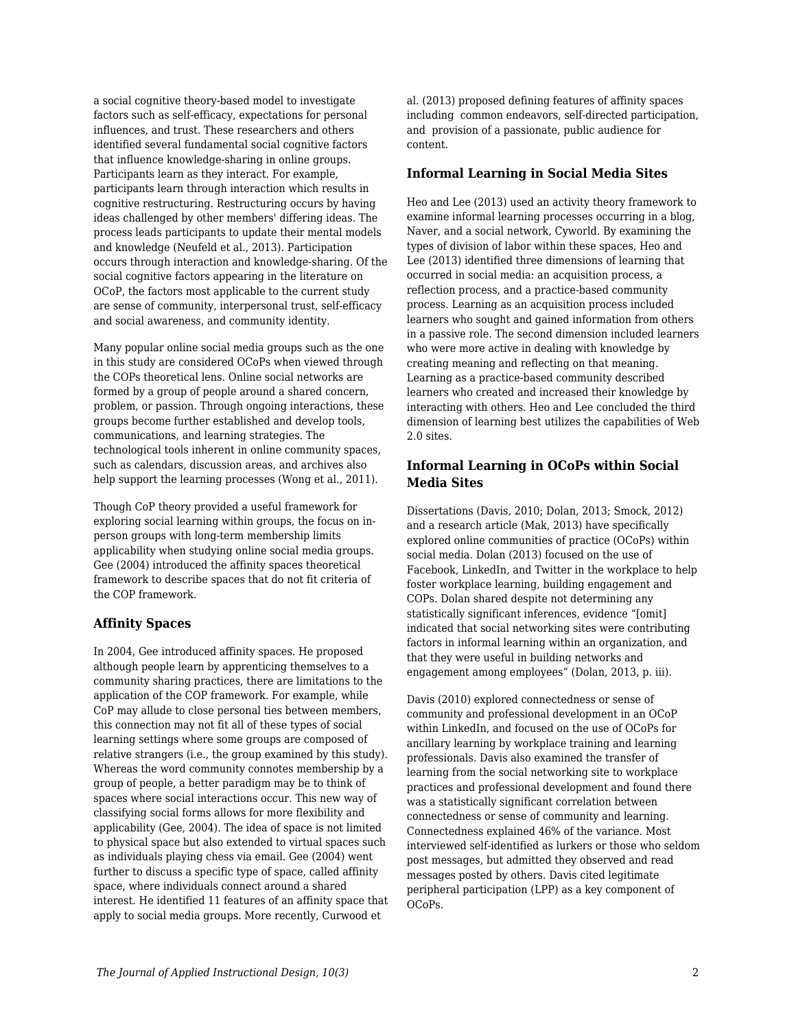a social cognitive theory-based model to investigate factors such as self-efficacy, expectations for personal influences, and trust. These researchers and others identified several fundamental social cognitive factors that influence knowledge-sharing in online groups. Participants learn as they interact. For example, participants learn through interaction which results in cognitive restructuring. Restructuring occurs by having ideas challenged by other members' differing ideas. The process leads participants to update their mental models and knowledge (Neufeld et al., 2013). Participation occurs through interaction and knowledge-sharing. Of the social cognitive factors appearing in the literature on OCoP, the factors most applicable to the current study are sense of community, interpersonal trust, self-efficacy and social awareness, and community identity.

Many popular online social media groups such as the one in this study are considered OCoPs when viewed through the COPs theoretical lens. Online social networks are formed by a group of people around a shared concern, problem, or passion. Through ongoing interactions, these groups become further established and develop tools, communications, and learning strategies. The technological tools inherent in online community spaces, such as calendars, discussion areas, and archives also help support the learning processes (Wong et al., 2011).

Though CoP theory provided a useful framework for exploring social learning within groups, the focus on inperson groups with long-term membership limits applicability when studying online social media groups. Gee (2004) introduced the affinity spaces theoretical framework to describe spaces that do not fit criteria of the COP framework.

#### **Affinity Spaces**

In 2004, Gee introduced affinity spaces. He proposed although people learn by apprenticing themselves to a community sharing practices, there are limitations to the application of the COP framework. For example, while CoP may allude to close personal ties between members, this connection may not fit all of these types of social learning settings where some groups are composed of relative strangers (i.e., the group examined by this study). Whereas the word community connotes membership by a group of people, a better paradigm may be to think of spaces where social interactions occur. This new way of classifying social forms allows for more flexibility and applicability (Gee, 2004). The idea of space is not limited to physical space but also extended to virtual spaces such as individuals playing chess via email. Gee (2004) went further to discuss a specific type of space, called affinity space, where individuals connect around a shared interest. He identified 11 features of an affinity space that apply to social media groups. More recently, Curwood et

al. (2013) proposed defining features of affinity spaces including common endeavors, self-directed participation, and provision of a passionate, public audience for content.

#### **Informal Learning in Social Media Sites**

Heo and Lee (2013) used an activity theory framework to examine informal learning processes occurring in a blog, Naver, and a social network, Cyworld. By examining the types of division of labor within these spaces, Heo and Lee (2013) identified three dimensions of learning that occurred in social media: an acquisition process, a reflection process, and a practice-based community process. Learning as an acquisition process included learners who sought and gained information from others in a passive role. The second dimension included learners who were more active in dealing with knowledge by creating meaning and reflecting on that meaning. Learning as a practice-based community described learners who created and increased their knowledge by interacting with others. Heo and Lee concluded the third dimension of learning best utilizes the capabilities of Web 2.0 sites.

#### **Informal Learning in OCoPs within Social Media Sites**

Dissertations (Davis, 2010; Dolan, 2013; Smock, 2012) and a research article (Mak, 2013) have specifically explored online communities of practice (OCoPs) within social media. Dolan (2013) focused on the use of Facebook, LinkedIn, and Twitter in the workplace to help foster workplace learning, building engagement and COPs. Dolan shared despite not determining any statistically significant inferences, evidence "[omit] indicated that social networking sites were contributing factors in informal learning within an organization, and that they were useful in building networks and engagement among employees" (Dolan, 2013, p. iii).

Davis (2010) explored connectedness or sense of community and professional development in an OCoP within LinkedIn, and focused on the use of OCoPs for ancillary learning by workplace training and learning professionals. Davis also examined the transfer of learning from the social networking site to workplace practices and professional development and found there was a statistically significant correlation between connectedness or sense of community and learning. Connectedness explained 46% of the variance. Most interviewed self-identified as lurkers or those who seldom post messages, but admitted they observed and read messages posted by others. Davis cited legitimate peripheral participation (LPP) as a key component of OCoPs.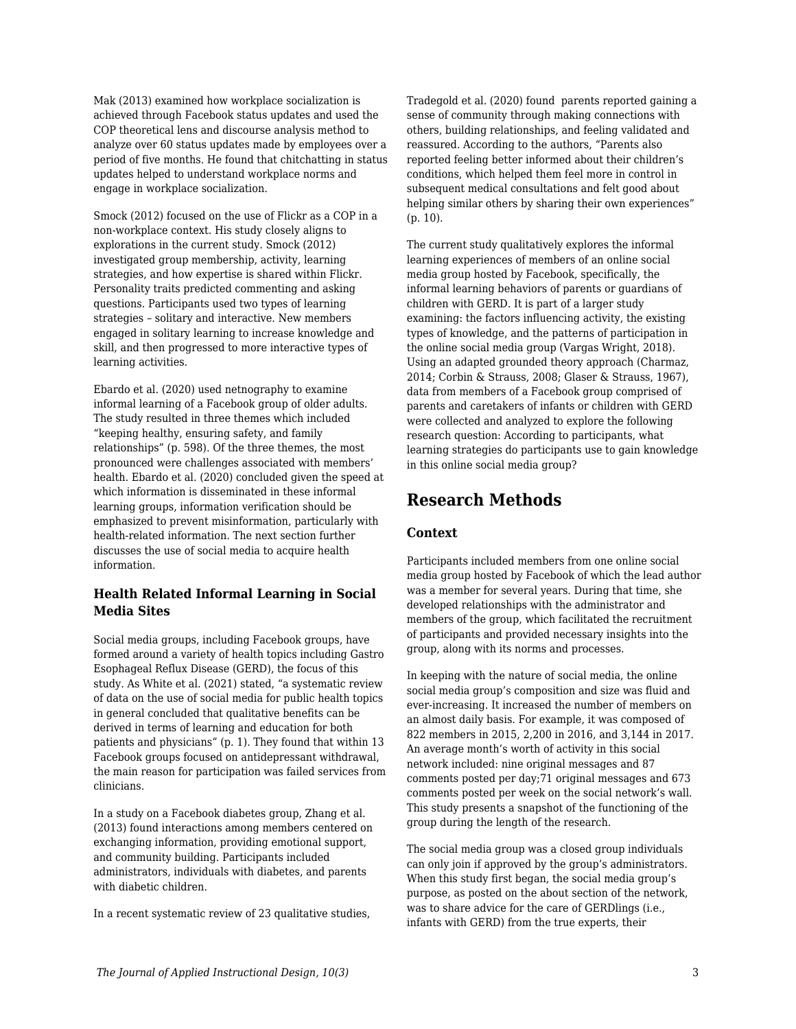Mak (2013) examined how workplace socialization is achieved through Facebook status updates and used the COP theoretical lens and discourse analysis method to analyze over 60 status updates made by employees over a period of five months. He found that chitchatting in status updates helped to understand workplace norms and engage in workplace socialization.

Smock (2012) focused on the use of Flickr as a COP in a non-workplace context. His study closely aligns to explorations in the current study. Smock (2012) investigated group membership, activity, learning strategies, and how expertise is shared within Flickr. Personality traits predicted commenting and asking questions. Participants used two types of learning strategies – solitary and interactive. New members engaged in solitary learning to increase knowledge and skill, and then progressed to more interactive types of learning activities.

Ebardo et al. (2020) used netnography to examine informal learning of a Facebook group of older adults. The study resulted in three themes which included "keeping healthy, ensuring safety, and family relationships" (p. 598). Of the three themes, the most pronounced were challenges associated with members' health. Ebardo et al. (2020) concluded given the speed at which information is disseminated in these informal learning groups, information verification should be emphasized to prevent misinformation, particularly with health-related information. The next section further discusses the use of social media to acquire health information.

#### **Health Related Informal Learning in Social Media Sites**

Social media groups, including Facebook groups, have formed around a variety of health topics including Gastro Esophageal Reflux Disease (GERD), the focus of this study. As White et al. (2021) stated, "a systematic review of data on the use of social media for public health topics in general concluded that qualitative benefits can be derived in terms of learning and education for both patients and physicians" (p. 1). They found that within 13 Facebook groups focused on antidepressant withdrawal, the main reason for participation was failed services from clinicians.

In a study on a Facebook diabetes group, Zhang et al. (2013) found interactions among members centered on exchanging information, providing emotional support, and community building. Participants included administrators, individuals with diabetes, and parents with diabetic children.

In a recent systematic review of 23 qualitative studies,

Tradegold et al. (2020) found parents reported gaining a sense of community through making connections with others, building relationships, and feeling validated and reassured. According to the authors, "Parents also reported feeling better informed about their children's conditions, which helped them feel more in control in subsequent medical consultations and felt good about helping similar others by sharing their own experiences" (p. 10).

The current study qualitatively explores the informal learning experiences of members of an online social media group hosted by Facebook, specifically, the informal learning behaviors of parents or guardians of children with GERD. It is part of a larger study examining: the factors influencing activity, the existing types of knowledge, and the patterns of participation in the online social media group (Vargas Wright, 2018). Using an adapted grounded theory approach (Charmaz, 2014; Corbin & Strauss, 2008; Glaser & Strauss, 1967), data from members of a Facebook group comprised of parents and caretakers of infants or children with GERD were collected and analyzed to explore the following research question: According to participants, what learning strategies do participants use to gain knowledge in this online social media group?

## **Research Methods**

#### **Context**

Participants included members from one online social media group hosted by Facebook of which the lead author was a member for several years. During that time, she developed relationships with the administrator and members of the group, which facilitated the recruitment of participants and provided necessary insights into the group, along with its norms and processes.

In keeping with the nature of social media, the online social media group's composition and size was fluid and ever-increasing. It increased the number of members on an almost daily basis. For example, it was composed of 822 members in 2015, 2,200 in 2016, and 3,144 in 2017. An average month's worth of activity in this social network included: nine original messages and 87 comments posted per day;71 original messages and 673 comments posted per week on the social network's wall. This study presents a snapshot of the functioning of the group during the length of the research.

The social media group was a closed group individuals can only join if approved by the group's administrators. When this study first began, the social media group's purpose, as posted on the about section of the network, was to share advice for the care of GERDlings (i.e., infants with GERD) from the true experts, their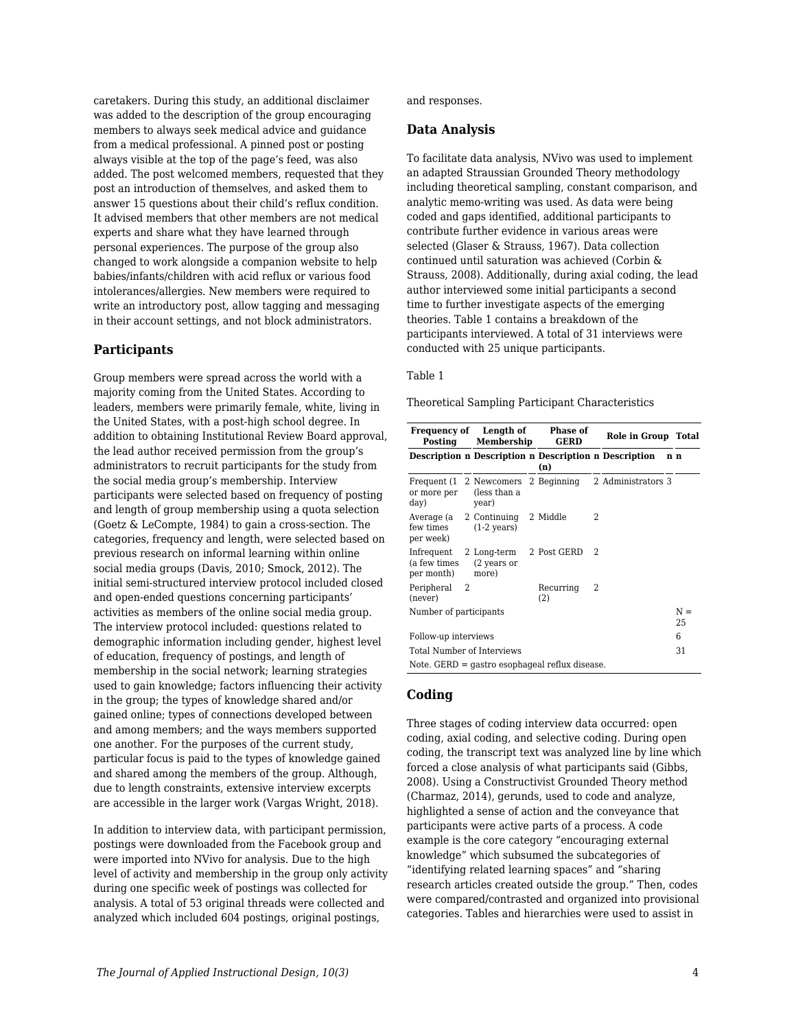caretakers. During this study, an additional disclaimer was added to the description of the group encouraging members to always seek medical advice and guidance from a medical professional. A pinned post or posting always visible at the top of the page's feed, was also added. The post welcomed members, requested that they post an introduction of themselves, and asked them to answer 15 questions about their child's reflux condition. It advised members that other members are not medical experts and share what they have learned through personal experiences. The purpose of the group also changed to work alongside a companion website to help babies/infants/children with acid reflux or various food intolerances/allergies. New members were required to write an introductory post, allow tagging and messaging in their account settings, and not block administrators.

#### **Participants**

Group members were spread across the world with a majority coming from the United States. According to leaders, members were primarily female, white, living in the United States, with a post-high school degree. In addition to obtaining Institutional Review Board approval, the lead author received permission from the group's administrators to recruit participants for the study from the social media group's membership. Interview participants were selected based on frequency of posting and length of group membership using a quota selection (Goetz & LeCompte, 1984) to gain a cross-section. The categories, frequency and length, were selected based on previous research on informal learning within online social media groups (Davis, 2010; Smock, 2012). The initial semi-structured interview protocol included closed and open-ended questions concerning participants' activities as members of the online social media group. The interview protocol included: questions related to demographic information including gender, highest level of education, frequency of postings, and length of membership in the social network; learning strategies used to gain knowledge; factors influencing their activity in the group; the types of knowledge shared and/or gained online; types of connections developed between and among members; and the ways members supported one another. For the purposes of the current study, particular focus is paid to the types of knowledge gained and shared among the members of the group. Although, due to length constraints, extensive interview excerpts are accessible in the larger work (Vargas Wright, 2018).

In addition to interview data, with participant permission, postings were downloaded from the Facebook group and were imported into NVivo for analysis. Due to the high level of activity and membership in the group only activity during one specific week of postings was collected for analysis. A total of 53 original threads were collected and analyzed which included 604 postings, original postings,

and responses.

#### **Data Analysis**

To facilitate data analysis, NVivo was used to implement an adapted Straussian Grounded Theory methodology including theoretical sampling, constant comparison, and analytic memo-writing was used. As data were being coded and gaps identified, additional participants to contribute further evidence in various areas were selected (Glaser & Strauss, 1967). Data collection continued until saturation was achieved (Corbin & Strauss, 2008). Additionally, during axial coding, the lead author interviewed some initial participants a second time to further investigate aspects of the emerging theories. Table 1 contains a breakdown of the participants interviewed. A total of 31 interviews were conducted with 25 unique participants.

#### Table 1

Theoretical Sampling Participant Characteristics

| Frequency of Length of<br>Posting                    |   | Membership                                                |  | <b>Phase of</b><br><b>GERD</b>                               |                | Role in Group Total                                    |  |             |
|------------------------------------------------------|---|-----------------------------------------------------------|--|--------------------------------------------------------------|----------------|--------------------------------------------------------|--|-------------|
|                                                      |   |                                                           |  | Description n Description n Description n Description<br>(n) |                |                                                        |  | n n         |
| or more per<br>day)                                  |   | (less than a<br>year)                                     |  |                                                              |                | Frequent (1 2 Newcomers 2 Beginning 2 Administrators 3 |  |             |
| few times<br>per week)                               |   | Average (a 2 Continuing 2 Middle<br>$(1-2 \text{ years})$ |  |                                                              | $\mathfrak{D}$ |                                                        |  |             |
| Infrequent 2 Long-term<br>(a few times<br>per month) |   | (2 years or<br>more)                                      |  | 2 Post GERD                                                  | - 2            |                                                        |  |             |
| Peripheral<br>(never)                                | 2 |                                                           |  | Recurring<br>(2)                                             | 2              |                                                        |  |             |
| Number of participants                               |   |                                                           |  |                                                              |                |                                                        |  | $N =$<br>25 |
| Follow-up interviews                                 |   |                                                           |  |                                                              |                |                                                        |  | 6           |
| Total Number of Interviews                           |   |                                                           |  |                                                              |                | 31                                                     |  |             |
|                                                      |   |                                                           |  | Note. GERD = gastro esophageal reflux disease.               |                |                                                        |  |             |

#### **Coding**

Three stages of coding interview data occurred: open coding, axial coding, and selective coding. During open coding, the transcript text was analyzed line by line which forced a close analysis of what participants said (Gibbs, 2008). Using a Constructivist Grounded Theory method (Charmaz, 2014), gerunds, used to code and analyze, highlighted a sense of action and the conveyance that participants were active parts of a process. A code example is the core category "encouraging external knowledge" which subsumed the subcategories of "identifying related learning spaces" and "sharing research articles created outside the group." Then, codes were compared/contrasted and organized into provisional categories. Tables and hierarchies were used to assist in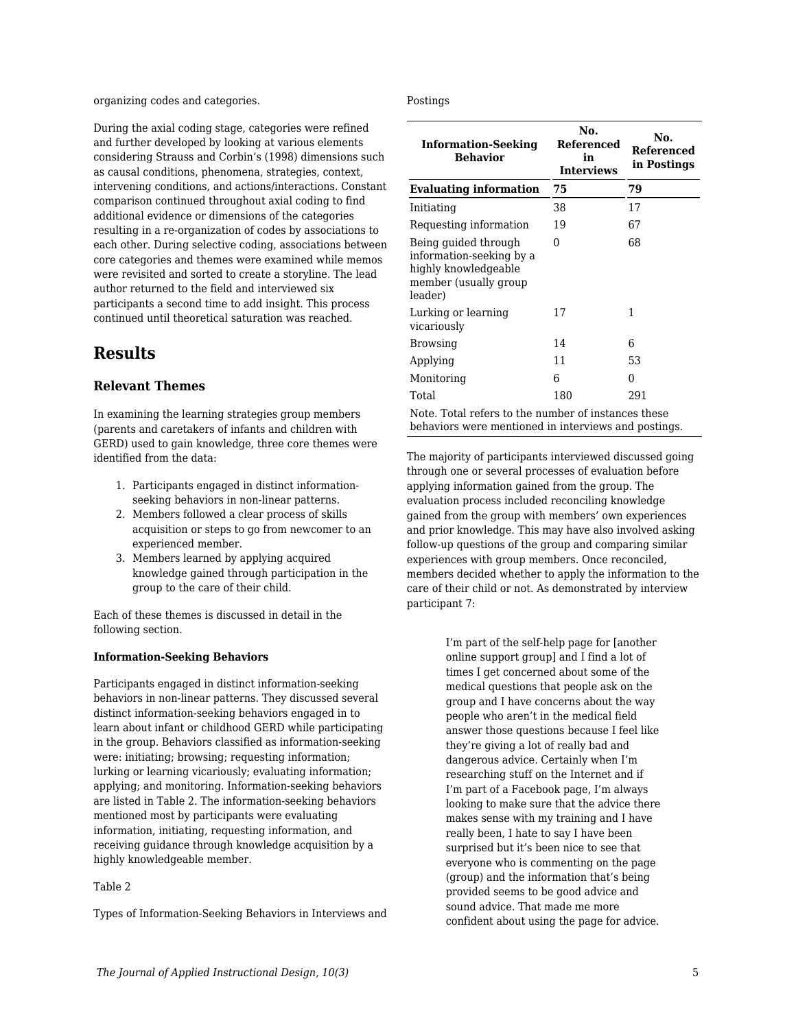organizing codes and categories.

During the axial coding stage, categories were refined and further developed by looking at various elements considering Strauss and Corbin's (1998) dimensions such as causal conditions, phenomena, strategies, context, intervening conditions, and actions/interactions. Constant comparison continued throughout axial coding to find additional evidence or dimensions of the categories resulting in a re-organization of codes by associations to each other. During selective coding, associations between core categories and themes were examined while memos were revisited and sorted to create a storyline. The lead author returned to the field and interviewed six participants a second time to add insight. This process continued until theoretical saturation was reached.

## **Results**

#### **Relevant Themes**

In examining the learning strategies group members (parents and caretakers of infants and children with GERD) used to gain knowledge, three core themes were identified from the data:

- 1. Participants engaged in distinct informationseeking behaviors in non-linear patterns.
- 2. Members followed a clear process of skills acquisition or steps to go from newcomer to an experienced member.
- 3. Members learned by applying acquired knowledge gained through participation in the group to the care of their child.

Each of these themes is discussed in detail in the following section.

#### **Information-Seeking Behaviors**

Participants engaged in distinct information-seeking behaviors in non-linear patterns. They discussed several distinct information-seeking behaviors engaged in to learn about infant or childhood GERD while participating in the group. Behaviors classified as information-seeking were: initiating; browsing; requesting information; lurking or learning vicariously; evaluating information; applying; and monitoring. Information-seeking behaviors are listed in Table 2. The information-seeking behaviors mentioned most by participants were evaluating information, initiating, requesting information, and receiving guidance through knowledge acquisition by a highly knowledgeable member.

#### Table 2

Types of Information-Seeking Behaviors in Interviews and

Postings

| <b>Information-Seeking</b><br><b>Behavior</b>                                                                | No.<br>Referenced<br>in<br><b>Interviews</b> | No.<br><b>Referenced</b><br>in Postings |  |  |
|--------------------------------------------------------------------------------------------------------------|----------------------------------------------|-----------------------------------------|--|--|
| <b>Evaluating information</b>                                                                                | 75                                           | 79                                      |  |  |
| Initiating                                                                                                   | 38                                           | 17                                      |  |  |
| Requesting information                                                                                       | 19                                           | 67                                      |  |  |
| Being guided through<br>information-seeking by a<br>highly knowledgeable<br>member (usually group<br>leader) | 0                                            | 68                                      |  |  |
| Lurking or learning<br>vicariously                                                                           | 17                                           | 1                                       |  |  |
| <b>Browsing</b>                                                                                              | 14                                           | 6                                       |  |  |
| Applying                                                                                                     | 11                                           | 53                                      |  |  |
| Monitoring                                                                                                   | 6                                            | 0                                       |  |  |
| Total                                                                                                        | 180                                          | 291                                     |  |  |
| Note. Total refers to the number of instances these                                                          |                                              |                                         |  |  |

Note. Total refers to the number of instances these behaviors were mentioned in interviews and postings.

The majority of participants interviewed discussed going through one or several processes of evaluation before applying information gained from the group. The evaluation process included reconciling knowledge gained from the group with members' own experiences and prior knowledge. This may have also involved asking follow-up questions of the group and comparing similar experiences with group members. Once reconciled, members decided whether to apply the information to the care of their child or not. As demonstrated by interview participant 7:

> I'm part of the self-help page for [another online support group] and I find a lot of times I get concerned about some of the medical questions that people ask on the group and I have concerns about the way people who aren't in the medical field answer those questions because I feel like they're giving a lot of really bad and dangerous advice. Certainly when I'm researching stuff on the Internet and if I'm part of a Facebook page, I'm always looking to make sure that the advice there makes sense with my training and I have really been, I hate to say I have been surprised but it's been nice to see that everyone who is commenting on the page (group) and the information that's being provided seems to be good advice and sound advice. That made me more confident about using the page for advice.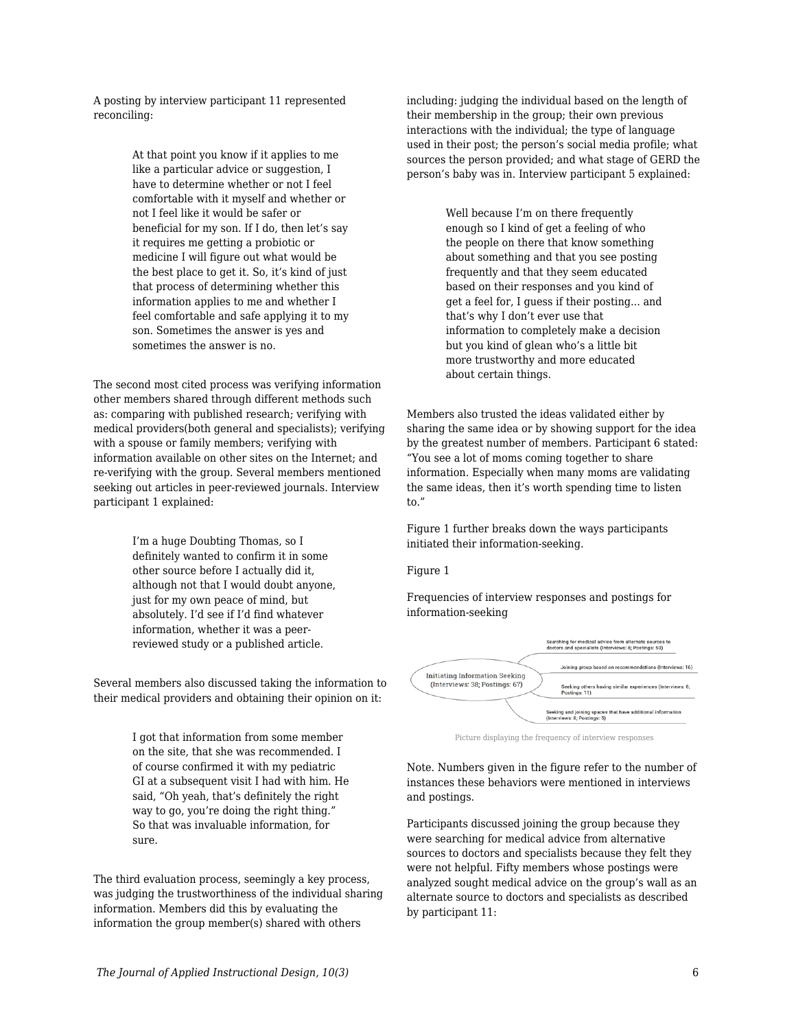A posting by interview participant 11 represented reconciling:

> At that point you know if it applies to me like a particular advice or suggestion. I have to determine whether or not I feel comfortable with it myself and whether or not I feel like it would be safer or beneficial for my son. If I do, then let's say it requires me getting a probiotic or medicine I will figure out what would be the best place to get it. So, it's kind of just that process of determining whether this information applies to me and whether I feel comfortable and safe applying it to my son. Sometimes the answer is yes and sometimes the answer is no.

The second most cited process was verifying information other members shared through different methods such as: comparing with published research; verifying with medical providers(both general and specialists); verifying with a spouse or family members; verifying with information available on other sites on the Internet; and re-verifying with the group. Several members mentioned seeking out articles in peer-reviewed journals. Interview participant 1 explained:

> I'm a huge Doubting Thomas, so I definitely wanted to confirm it in some other source before I actually did it, although not that I would doubt anyone, just for my own peace of mind, but absolutely. I'd see if I'd find whatever information, whether it was a peerreviewed study or a published article.

Several members also discussed taking the information to their medical providers and obtaining their opinion on it:

> I got that information from some member on the site, that she was recommended. I of course confirmed it with my pediatric GI at a subsequent visit I had with him. He said, "Oh yeah, that's definitely the right way to go, you're doing the right thing." So that was invaluable information, for sure.

The third evaluation process, seemingly a key process, was judging the trustworthiness of the individual sharing information. Members did this by evaluating the information the group member(s) shared with others

including: judging the individual based on the length of their membership in the group; their own previous interactions with the individual; the type of language used in their post; the person's social media profile; what sources the person provided; and what stage of GERD the person's baby was in. Interview participant 5 explained:

> Well because I'm on there frequently enough so I kind of get a feeling of who the people on there that know something about something and that you see posting frequently and that they seem educated based on their responses and you kind of get a feel for, I guess if their posting... and that's why I don't ever use that information to completely make a decision but you kind of glean who's a little bit more trustworthy and more educated about certain things.

Members also trusted the ideas validated either by sharing the same idea or by showing support for the idea by the greatest number of members. Participant 6 stated: "You see a lot of moms coming together to share information. Especially when many moms are validating the same ideas, then it's worth spending time to listen to."

Figure 1 further breaks down the ways participants initiated their information-seeking.

#### Figure 1

Frequencies of interview responses and postings for information-seeking



Picture displaying the frequency of interview responses

Note. Numbers given in the figure refer to the number of instances these behaviors were mentioned in interviews and postings.

Participants discussed joining the group because they were searching for medical advice from alternative sources to doctors and specialists because they felt they were not helpful. Fifty members whose postings were analyzed sought medical advice on the group's wall as an alternate source to doctors and specialists as described by participant 11: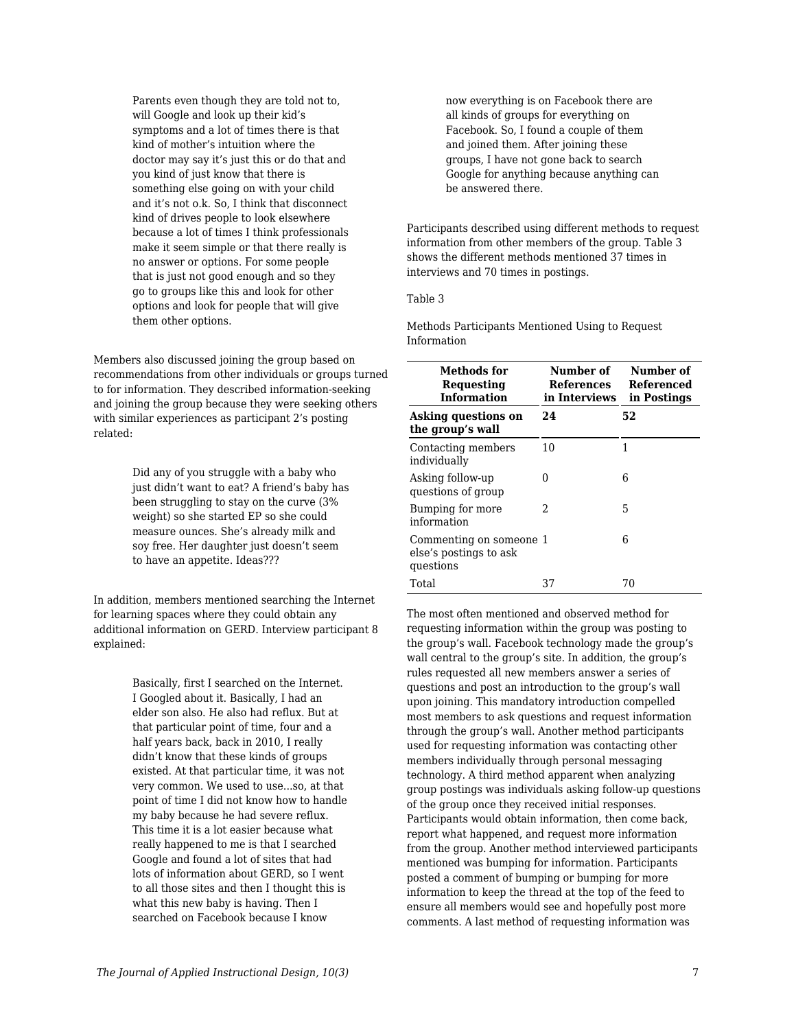Parents even though they are told not to, will Google and look up their kid's symptoms and a lot of times there is that kind of mother's intuition where the doctor may say it's just this or do that and you kind of just know that there is something else going on with your child and it's not o.k. So, I think that disconnect kind of drives people to look elsewhere because a lot of times I think professionals make it seem simple or that there really is no answer or options. For some people that is just not good enough and so they go to groups like this and look for other options and look for people that will give them other options.

Members also discussed joining the group based on recommendations from other individuals or groups turned to for information. They described information-seeking and joining the group because they were seeking others with similar experiences as participant 2's posting related:

> Did any of you struggle with a baby who just didn't want to eat? A friend's baby has been struggling to stay on the curve (3% weight) so she started EP so she could measure ounces. She's already milk and soy free. Her daughter just doesn't seem to have an appetite. Ideas???

In addition, members mentioned searching the Internet for learning spaces where they could obtain any additional information on GERD. Interview participant 8 explained:

> Basically, first I searched on the Internet. I Googled about it. Basically, I had an elder son also. He also had reflux. But at that particular point of time, four and a half years back, back in 2010, I really didn't know that these kinds of groups existed. At that particular time, it was not very common. We used to use...so, at that point of time I did not know how to handle my baby because he had severe reflux. This time it is a lot easier because what really happened to me is that I searched Google and found a lot of sites that had lots of information about GERD, so I went to all those sites and then I thought this is what this new baby is having. Then I searched on Facebook because I know

now everything is on Facebook there are all kinds of groups for everything on Facebook. So, I found a couple of them and joined them. After joining these groups, I have not gone back to search Google for anything because anything can be answered there.

Participants described using different methods to request information from other members of the group. Table 3 shows the different methods mentioned 37 times in interviews and 70 times in postings.

#### Table 3

Methods Participants Mentioned Using to Request Information

| Methods for<br>Requesting<br><b>Information</b>                | Number of<br>References<br>in Interviews | Number of<br>Referenced<br>in Postings |  |  |
|----------------------------------------------------------------|------------------------------------------|----------------------------------------|--|--|
| Asking questions on<br>the group's wall                        | 24                                       | 52                                     |  |  |
| Contacting members<br>individually                             | 10                                       | 1                                      |  |  |
| Asking follow-up<br>questions of group                         | 0                                        | 6                                      |  |  |
| Bumping for more<br>information                                | 2                                        | 5                                      |  |  |
| Commenting on someone 1<br>else's postings to ask<br>questions |                                          | 6                                      |  |  |
| Total                                                          | 37                                       | 70                                     |  |  |

The most often mentioned and observed method for requesting information within the group was posting to the group's wall. Facebook technology made the group's wall central to the group's site. In addition, the group's rules requested all new members answer a series of questions and post an introduction to the group's wall upon joining. This mandatory introduction compelled most members to ask questions and request information through the group's wall. Another method participants used for requesting information was contacting other members individually through personal messaging technology. A third method apparent when analyzing group postings was individuals asking follow-up questions of the group once they received initial responses. Participants would obtain information, then come back, report what happened, and request more information from the group. Another method interviewed participants mentioned was bumping for information. Participants posted a comment of bumping or bumping for more information to keep the thread at the top of the feed to ensure all members would see and hopefully post more comments. A last method of requesting information was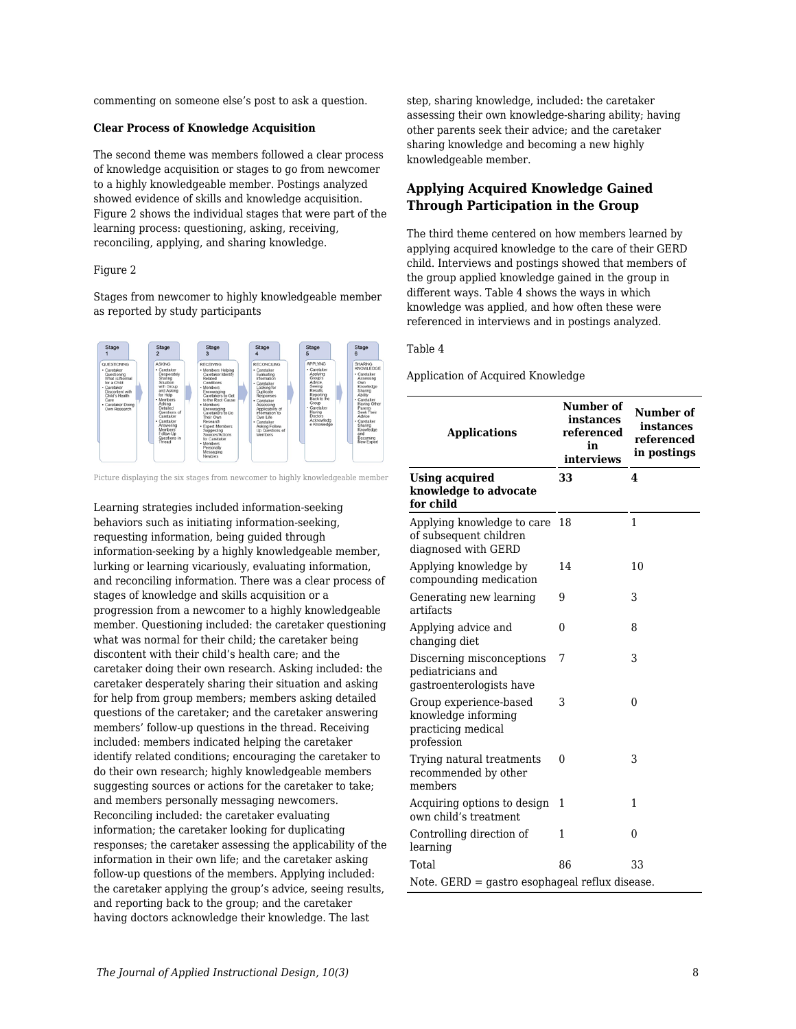commenting on someone else's post to ask a question.

#### **Clear Process of Knowledge Acquisition**

The second theme was members followed a clear process of knowledge acquisition or stages to go from newcomer to a highly knowledgeable member. Postings analyzed showed evidence of skills and knowledge acquisition. Figure 2 shows the individual stages that were part of the learning process: questioning, asking, receiving, reconciling, applying, and sharing knowledge.

#### Figure 2

Stages from newcomer to highly knowledgeable member as reported by study participants



Picture displaying the six stages from newcomer to highly knowledgeable member

Learning strategies included information-seeking behaviors such as initiating information-seeking, requesting information, being guided through information-seeking by a highly knowledgeable member, lurking or learning vicariously, evaluating information, and reconciling information. There was a clear process of stages of knowledge and skills acquisition or a progression from a newcomer to a highly knowledgeable member. Questioning included: the caretaker questioning what was normal for their child; the caretaker being discontent with their child's health care; and the caretaker doing their own research. Asking included: the caretaker desperately sharing their situation and asking for help from group members; members asking detailed questions of the caretaker; and the caretaker answering members' follow-up questions in the thread. Receiving included: members indicated helping the caretaker identify related conditions; encouraging the caretaker to do their own research; highly knowledgeable members suggesting sources or actions for the caretaker to take; and members personally messaging newcomers. Reconciling included: the caretaker evaluating information; the caretaker looking for duplicating responses; the caretaker assessing the applicability of the information in their own life; and the caretaker asking follow-up questions of the members. Applying included: the caretaker applying the group's advice, seeing results, and reporting back to the group; and the caretaker having doctors acknowledge their knowledge. The last

step, sharing knowledge, included: the caretaker assessing their own knowledge-sharing ability; having other parents seek their advice; and the caretaker sharing knowledge and becoming a new highly knowledgeable member.

#### **Applying Acquired Knowledge Gained Through Participation in the Group**

The third theme centered on how members learned by applying acquired knowledge to the care of their GERD child. Interviews and postings showed that members of the group applied knowledge gained in the group in different ways. Table 4 shows the ways in which knowledge was applied, and how often these were referenced in interviews and in postings analyzed.

#### Table 4

Application of Acquired Knowledge

| <b>Applications</b>                                                               | Number of<br>instances<br>referenced<br>in<br>interviews | Number of<br>instances<br>referenced<br>in postings |  |  |
|-----------------------------------------------------------------------------------|----------------------------------------------------------|-----------------------------------------------------|--|--|
| <b>Using acquired</b><br>knowledge to advocate<br>for child                       | 33                                                       | 4                                                   |  |  |
| Applying knowledge to care<br>of subsequent children<br>diagnosed with GERD       | 18                                                       | $\mathbf{1}$                                        |  |  |
| Applying knowledge by<br>compounding medication                                   | 14                                                       | 10                                                  |  |  |
| Generating new learning<br>artifacts                                              | 9                                                        | 3                                                   |  |  |
| Applying advice and<br>changing diet                                              | $\theta$                                                 | 8                                                   |  |  |
| Discerning misconceptions<br>pediatricians and<br>gastroenterologists have        | 7                                                        | 3                                                   |  |  |
| Group experience-based<br>knowledge informing<br>practicing medical<br>profession | 3                                                        | $\theta$                                            |  |  |
| Trying natural treatments<br>recommended by other<br>members                      | 0                                                        | 3                                                   |  |  |
| Acquiring options to design<br>own child's treatment                              | 1                                                        | 1                                                   |  |  |
| Controlling direction of<br>learning                                              | 1                                                        | $\Omega$                                            |  |  |
| Total                                                                             | 86                                                       | 33                                                  |  |  |
| Note. GERD = gastro esophageal reflux disease.                                    |                                                          |                                                     |  |  |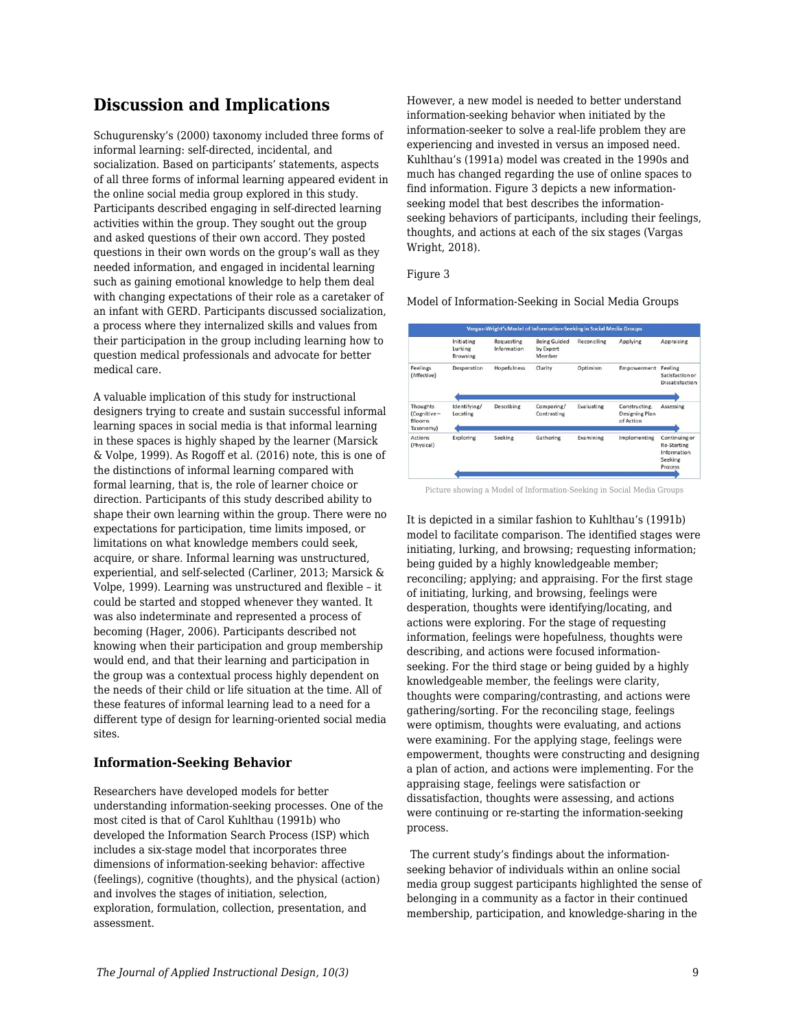### **Discussion and Implications**

Schugurensky's (2000) taxonomy included three forms of informal learning: self-directed, incidental, and socialization. Based on participants' statements, aspects of all three forms of informal learning appeared evident in the online social media group explored in this study. Participants described engaging in self-directed learning activities within the group. They sought out the group and asked questions of their own accord. They posted questions in their own words on the group's wall as they needed information, and engaged in incidental learning such as gaining emotional knowledge to help them deal with changing expectations of their role as a caretaker of an infant with GERD. Participants discussed socialization, a process where they internalized skills and values from their participation in the group including learning how to question medical professionals and advocate for better medical care.

A valuable implication of this study for instructional designers trying to create and sustain successful informal learning spaces in social media is that informal learning in these spaces is highly shaped by the learner (Marsick & Volpe, 1999). As Rogoff et al. (2016) note, this is one of the distinctions of informal learning compared with formal learning, that is, the role of learner choice or direction. Participants of this study described ability to shape their own learning within the group. There were no expectations for participation, time limits imposed, or limitations on what knowledge members could seek, acquire, or share. Informal learning was unstructured, experiential, and self-selected (Carliner, 2013; Marsick & Volpe, 1999). Learning was unstructured and flexible – it could be started and stopped whenever they wanted. It was also indeterminate and represented a process of becoming (Hager, 2006). Participants described not knowing when their participation and group membership would end, and that their learning and participation in the group was a contextual process highly dependent on the needs of their child or life situation at the time. All of these features of informal learning lead to a need for a different type of design for learning-oriented social media sites.

#### **Information-Seeking Behavior**

Researchers have developed models for better understanding information-seeking processes. One of the most cited is that of Carol Kuhlthau (1991b) who developed the Information Search Process (ISP) which includes a six-stage model that incorporates three dimensions of information-seeking behavior: affective (feelings), cognitive (thoughts), and the physical (action) and involves the stages of initiation, selection, exploration, formulation, collection, presentation, and assessment.

However, a new model is needed to better understand information-seeking behavior when initiated by the information-seeker to solve a real-life problem they are experiencing and invested in versus an imposed need. Kuhlthau's (1991a) model was created in the 1990s and much has changed regarding the use of online spaces to find information. Figure 3 depicts a new informationseeking model that best describes the informationseeking behaviors of participants, including their feelings, thoughts, and actions at each of the six stages (Vargas Wright, 2018).

Figure 3

Model of Information-Seeking in Social Media Groups

|                                                | Initiating<br>Lurking<br><b>Browsing</b> | Requesting<br>Information | <b>Being Guided</b><br>by Expert<br>Member | Reconciling | Applying                                     | Appraising                                                               |
|------------------------------------------------|------------------------------------------|---------------------------|--------------------------------------------|-------------|----------------------------------------------|--------------------------------------------------------------------------|
| Feelings<br>(Affective)                        | Desperation                              | Hopefulness               | Clarity                                    | Optimism    | Empowerment                                  | Feeling<br>Satisfaction or<br>Dissatisfaction                            |
| Thoughts<br>(Cognitive-<br>Blooms<br>Taxonomy) | Identifying/<br>Locating                 | Describing                | Comparing/<br>Contrasting                  | Evaluating  | Constructing,<br>Designing Plan<br>of Action | Assessing                                                                |
| <b>Actions</b><br>(Physical)                   | Exploring                                | Seeking                   | Gathering                                  | Examining   | Implementing                                 | Continuing or<br><b>Re-Starting</b><br>Information<br>Seeking<br>Process |

Picture showing a Model of Information-Seeking in Social Media Groups

It is depicted in a similar fashion to Kuhlthau's (1991b) model to facilitate comparison. The identified stages were initiating, lurking, and browsing; requesting information; being guided by a highly knowledgeable member; reconciling; applying; and appraising. For the first stage of initiating, lurking, and browsing, feelings were desperation, thoughts were identifying/locating, and actions were exploring. For the stage of requesting information, feelings were hopefulness, thoughts were describing, and actions were focused informationseeking. For the third stage or being guided by a highly knowledgeable member, the feelings were clarity, thoughts were comparing/contrasting, and actions were gathering/sorting. For the reconciling stage, feelings were optimism, thoughts were evaluating, and actions were examining. For the applying stage, feelings were empowerment, thoughts were constructing and designing a plan of action, and actions were implementing. For the appraising stage, feelings were satisfaction or dissatisfaction, thoughts were assessing, and actions were continuing or re-starting the information-seeking process.

The current study's findings about the informationseeking behavior of individuals within an online social media group suggest participants highlighted the sense of belonging in a community as a factor in their continued membership, participation, and knowledge-sharing in the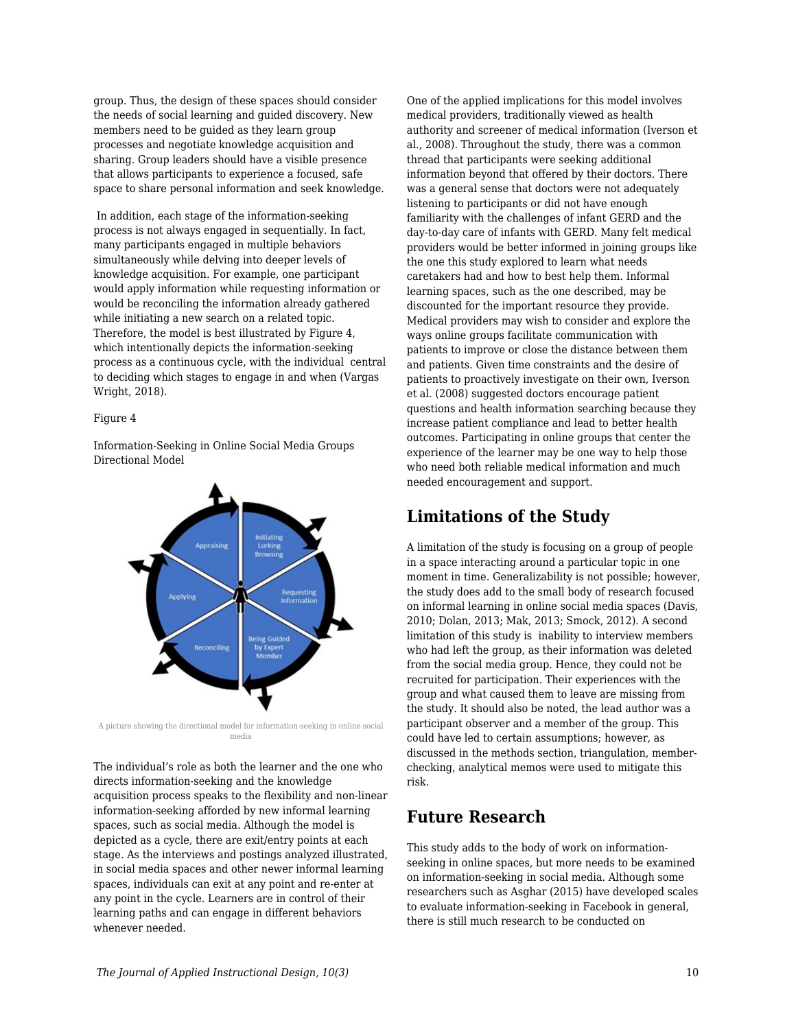group. Thus, the design of these spaces should consider the needs of social learning and guided discovery. New members need to be guided as they learn group processes and negotiate knowledge acquisition and sharing. Group leaders should have a visible presence that allows participants to experience a focused, safe space to share personal information and seek knowledge.

 In addition, each stage of the information-seeking process is not always engaged in sequentially. In fact, many participants engaged in multiple behaviors simultaneously while delving into deeper levels of knowledge acquisition. For example, one participant would apply information while requesting information or would be reconciling the information already gathered while initiating a new search on a related topic. Therefore, the model is best illustrated by Figure 4, which intentionally depicts the information-seeking process as a continuous cycle, with the individual central to deciding which stages to engage in and when (Vargas Wright, 2018).

#### Figure 4

Information-Seeking in Online Social Media Groups Directional Model



A picture showing the directional model for information-seeking in online social media

The individual's role as both the learner and the one who directs information-seeking and the knowledge acquisition process speaks to the flexibility and non-linear information-seeking afforded by new informal learning spaces, such as social media. Although the model is depicted as a cycle, there are exit/entry points at each stage. As the interviews and postings analyzed illustrated, in social media spaces and other newer informal learning spaces, individuals can exit at any point and re-enter at any point in the cycle. Learners are in control of their learning paths and can engage in different behaviors whenever needed.

One of the applied implications for this model involves medical providers, traditionally viewed as health authority and screener of medical information (Iverson et al., 2008). Throughout the study, there was a common thread that participants were seeking additional information beyond that offered by their doctors. There was a general sense that doctors were not adequately listening to participants or did not have enough familiarity with the challenges of infant GERD and the day-to-day care of infants with GERD. Many felt medical providers would be better informed in joining groups like the one this study explored to learn what needs caretakers had and how to best help them. Informal learning spaces, such as the one described, may be discounted for the important resource they provide. Medical providers may wish to consider and explore the ways online groups facilitate communication with patients to improve or close the distance between them and patients. Given time constraints and the desire of patients to proactively investigate on their own, Iverson et al. (2008) suggested doctors encourage patient questions and health information searching because they increase patient compliance and lead to better health outcomes. Participating in online groups that center the experience of the learner may be one way to help those who need both reliable medical information and much needed encouragement and support.

### **Limitations of the Study**

A limitation of the study is focusing on a group of people in a space interacting around a particular topic in one moment in time. Generalizability is not possible; however, the study does add to the small body of research focused on informal learning in online social media spaces (Davis, 2010; Dolan, 2013; Mak, 2013; Smock, 2012). A second limitation of this study is inability to interview members who had left the group, as their information was deleted from the social media group. Hence, they could not be recruited for participation. Their experiences with the group and what caused them to leave are missing from the study. It should also be noted, the lead author was a participant observer and a member of the group. This could have led to certain assumptions; however, as discussed in the methods section, triangulation, memberchecking, analytical memos were used to mitigate this risk.

## **Future Research**

This study adds to the body of work on informationseeking in online spaces, but more needs to be examined on information-seeking in social media. Although some researchers such as Asghar (2015) have developed scales to evaluate information-seeking in Facebook in general, there is still much research to be conducted on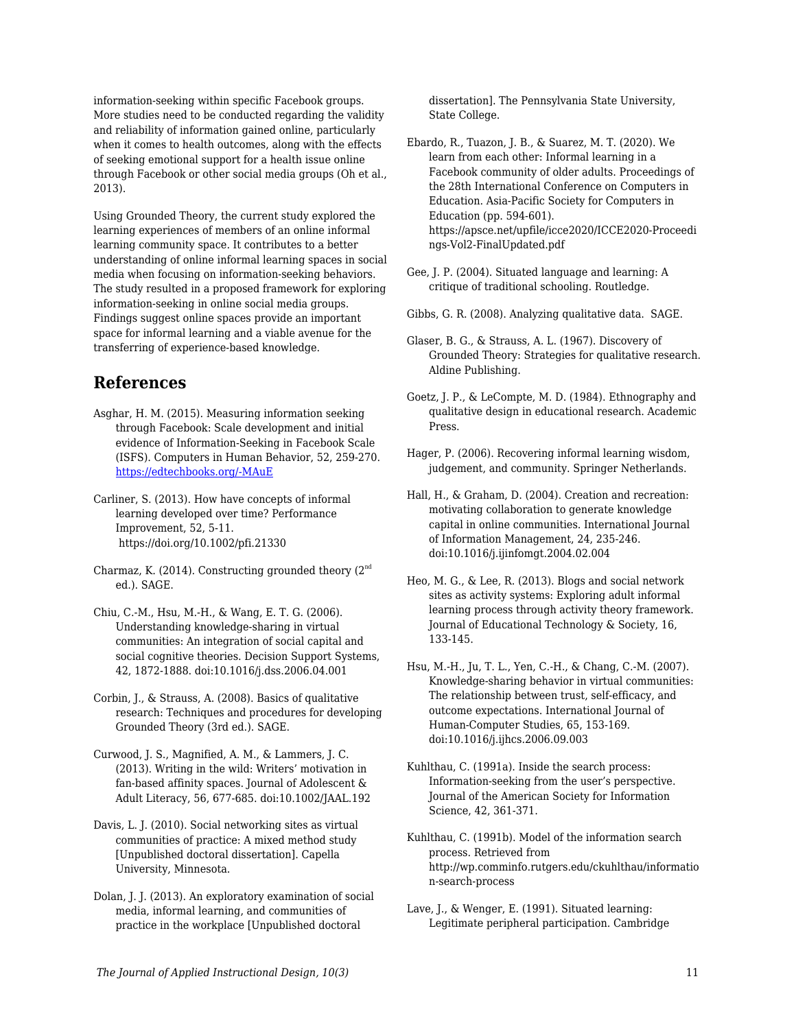information-seeking within specific Facebook groups. More studies need to be conducted regarding the validity and reliability of information gained online, particularly when it comes to health outcomes, along with the effects of seeking emotional support for a health issue online through Facebook or other social media groups (Oh et al., 2013).

Using Grounded Theory, the current study explored the learning experiences of members of an online informal learning community space. It contributes to a better understanding of online informal learning spaces in social media when focusing on information-seeking behaviors. The study resulted in a proposed framework for exploring information-seeking in online social media groups. Findings suggest online spaces provide an important space for informal learning and a viable avenue for the transferring of experience-based knowledge.

### **References**

Asghar, H. M. (2015). Measuring information seeking through Facebook: Scale development and initial evidence of Information-Seeking in Facebook Scale (ISFS). Computers in Human Behavior, 52, 259-270. [https://edtechbooks.org/-MAuE](https://doi.org/10.1016/j.chb.2015.06.005)

Carliner, S. (2013). How have concepts of informal learning developed over time? Performance Improvement, 52, 5-11. https://doi.org/10.1002/pfi.21330

- Charmaz, K. (2014). Constructing grounded theory  $(2^{nd}$ ed.). SAGE.
- Chiu, C.-M., Hsu, M.-H., & Wang, E. T. G. (2006). Understanding knowledge-sharing in virtual communities: An integration of social capital and social cognitive theories. Decision Support Systems, 42, 1872-1888. doi:10.1016/j.dss.2006.04.001
- Corbin, J., & Strauss, A. (2008). Basics of qualitative research: Techniques and procedures for developing Grounded Theory (3rd ed.). SAGE.
- Curwood, J. S., Magnified, A. M., & Lammers, J. C. (2013). Writing in the wild: Writers' motivation in fan-based affinity spaces. Journal of Adolescent & Adult Literacy, 56, 677-685. doi:10.1002/JAAL.192
- Davis, L. J. (2010). Social networking sites as virtual communities of practice: A mixed method study [Unpublished doctoral dissertation]. Capella University, Minnesota.
- Dolan, J. J. (2013). An exploratory examination of social media, informal learning, and communities of practice in the workplace [Unpublished doctoral

dissertation]. The Pennsylvania State University, State College.

- Ebardo, R., Tuazon, J. B., & Suarez, M. T. (2020). We learn from each other: Informal learning in a Facebook community of older adults. Proceedings of the 28th International Conference on Computers in Education. Asia-Pacific Society for Computers in Education (pp. 594-601). https://apsce.net/upfile/icce2020/ICCE2020-Proceedi ngs-Vol2-FinalUpdated.pdf
- Gee, J. P. (2004). Situated language and learning: A critique of traditional schooling. Routledge.
- Gibbs, G. R. (2008). Analyzing qualitative data. SAGE.
- Glaser, B. G., & Strauss, A. L. (1967). Discovery of Grounded Theory: Strategies for qualitative research. Aldine Publishing.
- Goetz, J. P., & LeCompte, M. D. (1984). Ethnography and qualitative design in educational research. Academic Press.
- Hager, P. (2006). Recovering informal learning wisdom, judgement, and community. Springer Netherlands.
- Hall, H., & Graham, D. (2004). Creation and recreation: motivating collaboration to generate knowledge capital in online communities. International Journal of Information Management, 24, 235-246. doi:10.1016/j.ijinfomgt.2004.02.004
- Heo, M. G., & Lee, R. (2013). Blogs and social network sites as activity systems: Exploring adult informal learning process through activity theory framework. Journal of Educational Technology & Society, 16, 133-145.
- Hsu, M.-H., Ju, T. L., Yen, C.-H., & Chang, C.-M. (2007). Knowledge-sharing behavior in virtual communities: The relationship between trust, self-efficacy, and outcome expectations. International Journal of Human-Computer Studies, 65, 153-169. doi:10.1016/j.ijhcs.2006.09.003
- Kuhlthau, C. (1991a). Inside the search process: Information-seeking from the user's perspective. Journal of the American Society for Information Science, 42, 361-371.
- Kuhlthau, C. (1991b). Model of the information search process. Retrieved from http://wp.comminfo.rutgers.edu/ckuhlthau/informatio n-search-process
- Lave, J., & Wenger, E. (1991). Situated learning: Legitimate peripheral participation. Cambridge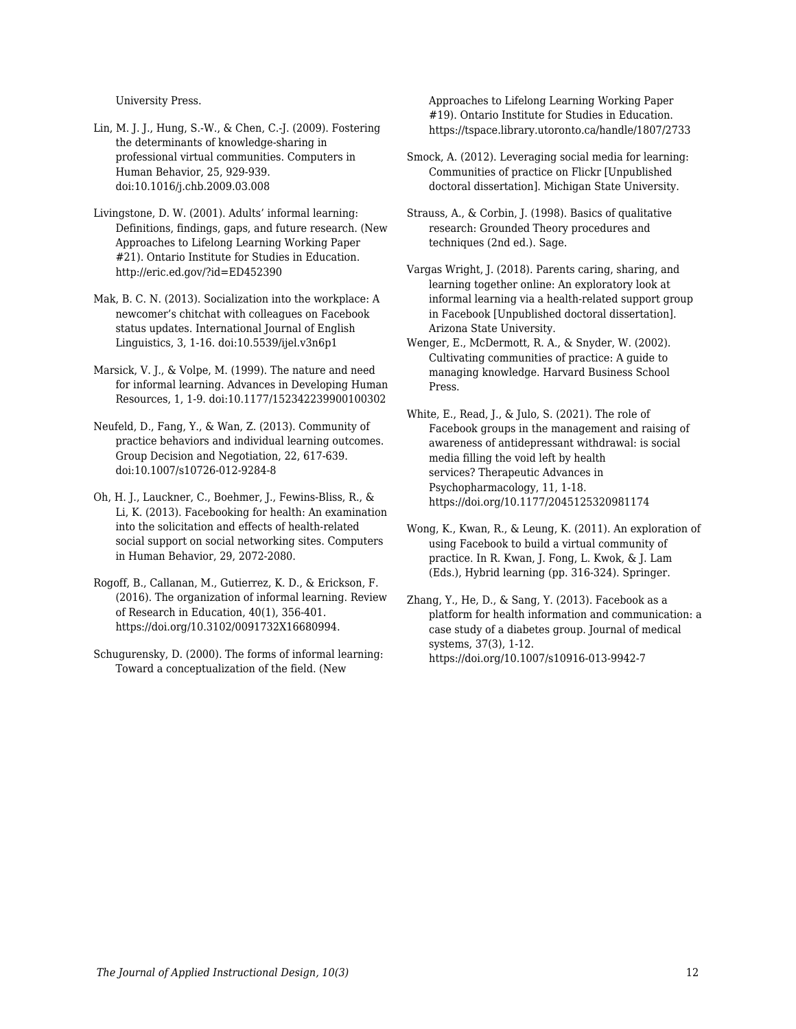University Press.

- Lin, M. J. J., Hung, S.-W., & Chen, C.-J. (2009). Fostering the determinants of knowledge-sharing in professional virtual communities. Computers in Human Behavior, 25, 929-939. doi:10.1016/j.chb.2009.03.008
- Livingstone, D. W. (2001). Adults' informal learning: Definitions, findings, gaps, and future research. (New Approaches to Lifelong Learning Working Paper #21). Ontario Institute for Studies in Education. http://eric.ed.gov/?id=ED452390
- Mak, B. C. N. (2013). Socialization into the workplace: A newcomer's chitchat with colleagues on Facebook status updates. International Journal of English Linguistics, 3, 1-16. doi:10.5539/ijel.v3n6p1
- Marsick, V. J., & Volpe, M. (1999). The nature and need for informal learning. Advances in Developing Human Resources, 1, 1-9. doi:10.1177/152342239900100302
- Neufeld, D., Fang, Y., & Wan, Z. (2013). Community of practice behaviors and individual learning outcomes. Group Decision and Negotiation, 22, 617-639. doi:10.1007/s10726-012-9284-8
- Oh, H. J., Lauckner, C., Boehmer, J., Fewins-Bliss, R., & Li, K. (2013). Facebooking for health: An examination into the solicitation and effects of health-related social support on social networking sites. Computers in Human Behavior, 29, 2072-2080.
- Rogoff, B., Callanan, M., Gutierrez, K. D., & Erickson, F. (2016). The organization of informal learning. Review of Research in Education, 40(1), 356-401. https://doi.org/10.3102/0091732X16680994.
- Schugurensky, D. (2000). The forms of informal learning: Toward a conceptualization of the field. (New

Approaches to Lifelong Learning Working Paper #19). Ontario Institute for Studies in Education. https://tspace.library.utoronto.ca/handle/1807/2733

- Smock, A. (2012). Leveraging social media for learning: Communities of practice on Flickr [Unpublished doctoral dissertation]. Michigan State University.
- Strauss, A., & Corbin, J. (1998). Basics of qualitative research: Grounded Theory procedures and techniques (2nd ed.). Sage.
- Vargas Wright, J. (2018). Parents caring, sharing, and learning together online: An exploratory look at informal learning via a health-related support group in Facebook [Unpublished doctoral dissertation]. Arizona State University.
- Wenger, E., McDermott, R. A., & Snyder, W. (2002). Cultivating communities of practice: A guide to managing knowledge. Harvard Business School Press.
- White, E., Read, J., & Julo, S. (2021). The role of Facebook groups in the management and raising of awareness of antidepressant withdrawal: is social media filling the void left by health services? Therapeutic Advances in Psychopharmacology, 11, 1-18. https://doi.org/10.1177/2045125320981174
- Wong, K., Kwan, R., & Leung, K. (2011). An exploration of using Facebook to build a virtual community of practice. In R. Kwan, J. Fong, L. Kwok, & J. Lam (Eds.), Hybrid learning (pp. 316-324). Springer.
- Zhang, Y., He, D., & Sang, Y. (2013). Facebook as a platform for health information and communication: a case study of a diabetes group. Journal of medical systems, 37(3), 1-12. https://doi.org/10.1007/s10916-013-9942-7